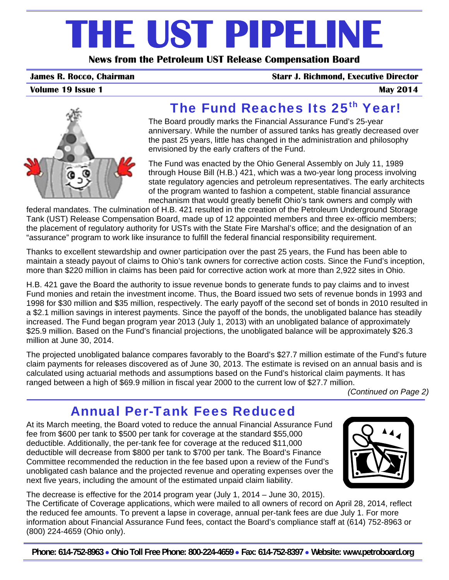# **THE UST PIPELINE**

**News from the Petroleum UST Release Compensation Board** 

#### **James R. Rocco, Chairman Starr J. Richmond, Executive Director**

**Volume 19 Issue 1** May 2014





# The Fund Reaches Its 25<sup>th</sup> Year!

The Board proudly marks the Financial Assurance Fund's 25-year anniversary. While the number of assured tanks has greatly decreased over the past 25 years, little has changed in the administration and philosophy envisioned by the early crafters of the Fund.

The Fund was enacted by the Ohio General Assembly on July 11, 1989 through House Bill (H.B.) 421, which was a two-year long process involving state regulatory agencies and petroleum representatives. The early architects of the program wanted to fashion a competent, stable financial assurance mechanism that would greatly benefit Ohio's tank owners and comply with

federal mandates. The culmination of H.B. 421 resulted in the creation of the Petroleum Underground Storage Tank (UST) Release Compensation Board, made up of 12 appointed members and three ex-officio members; the placement of regulatory authority for USTs with the State Fire Marshal's office; and the designation of an "assurance" program to work like insurance to fulfill the federal financial responsibility requirement.

Thanks to excellent stewardship and owner participation over the past 25 years, the Fund has been able to maintain a steady payout of claims to Ohio's tank owners for corrective action costs. Since the Fund's inception, more than \$220 million in claims has been paid for corrective action work at more than 2,922 sites in Ohio.

H.B. 421 gave the Board the authority to issue revenue bonds to generate funds to pay claims and to invest Fund monies and retain the investment income. Thus, the Board issued two sets of revenue bonds in 1993 and 1998 for \$30 million and \$35 million, respectively. The early payoff of the second set of bonds in 2010 resulted in a \$2.1 million savings in interest payments. Since the payoff of the bonds, the unobligated balance has steadily increased. The Fund began program year 2013 (July 1, 2013) with an unobligated balance of approximately \$25.9 million. Based on the Fund's financial projections, the unobligated balance will be approximately \$26.3 million at June 30, 2014.

The projected unobligated balance compares favorably to the Board's \$27.7 million estimate of the Fund's future claim payments for releases discovered as of June 30, 2013. The estimate is revised on an annual basis and is calculated using actuarial methods and assumptions based on the Fund's historical claim payments. It has ranged between a high of \$69.9 million in fiscal year 2000 to the current low of \$27.7 million.

 *(Continued on Page 2)* 

#### Annual Per-Tank Fees Reduced

At its March meeting, the Board voted to reduce the annual Financial Assurance Fund fee from \$600 per tank to \$500 per tank for coverage at the standard \$55,000 deductible. Additionally, the per-tank fee for coverage at the reduced \$11,000 deductible will decrease from \$800 per tank to \$700 per tank. The Board's Finance Committee recommended the reduction in the fee based upon a review of the Fund's unobligated cash balance and the projected revenue and operating expenses over the next five years, including the amount of the estimated unpaid claim liability.



The decrease is effective for the 2014 program year (July 1, 2014 – June 30, 2015).

The Certificate of Coverage applications, which were mailed to all owners of record on April 28, 2014, reflect the reduced fee amounts. To prevent a lapse in coverage, annual per-tank fees are due July 1. For more information about Financial Assurance Fund fees, contact the Board's compliance staff at (614) 752-8963 or (800) 224-4659 (Ohio only).

**Phone: 614-752-8963** • **Ohio Toll Free Phone: 800-224-4659** • **Fax: 614-752-8397** • **Website: www.petroboard.org**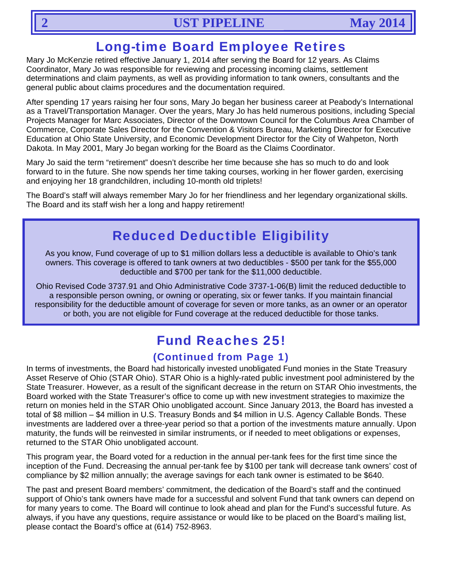#### Long-time Board Employee Retires

Mary Jo McKenzie retired effective January 1, 2014 after serving the Board for 12 years. As Claims Coordinator, Mary Jo was responsible for reviewing and processing incoming claims, settlement determinations and claim payments, as well as providing information to tank owners, consultants and the general public about claims procedures and the documentation required.

After spending 17 years raising her four sons, Mary Jo began her business career at Peabody's International as a Travel/Transportation Manager. Over the years, Mary Jo has held numerous positions, including Special Projects Manager for Marc Associates, Director of the Downtown Council for the Columbus Area Chamber of Commerce, Corporate Sales Director for the Convention & Visitors Bureau, Marketing Director for Executive Education at Ohio State University, and Economic Development Director for the City of Wahpeton, North Dakota. In May 2001, Mary Jo began working for the Board as the Claims Coordinator.

Mary Jo said the term "retirement" doesn't describe her time because she has so much to do and look forward to in the future. She now spends her time taking courses, working in her flower garden, exercising and enjoying her 18 grandchildren, including 10-month old triplets!

The Board's staff will always remember Mary Jo for her friendliness and her legendary organizational skills. The Board and its staff wish her a long and happy retirement!

#### Reduced Deductible Eligibility

As you know, Fund coverage of up to \$1 million dollars less a deductible is available to Ohio's tank owners. This coverage is offered to tank owners at two deductibles - \$500 per tank for the \$55,000 deductible and \$700 per tank for the \$11,000 deductible.

Ohio Revised Code 3737.91 and Ohio Administrative Code 3737-1-06(B) limit the reduced deductible to a responsible person owning, or owning or operating, six or fewer tanks. If you maintain financial responsibility for the deductible amount of coverage for seven or more tanks, as an owner or an operator or both, you are not eligible for Fund coverage at the reduced deductible for those tanks.

# Fund Reaches 25!

#### (Continued from Page 1)

In terms of investments, the Board had historically invested unobligated Fund monies in the State Treasury Asset Reserve of Ohio (STAR Ohio). STAR Ohio is a highly-rated public investment pool administered by the State Treasurer. However, as a result of the significant decrease in the return on STAR Ohio investments, the Board worked with the State Treasurer's office to come up with new investment strategies to maximize the return on monies held in the STAR Ohio unobligated account. Since January 2013, the Board has invested a total of \$8 million – \$4 million in U.S. Treasury Bonds and \$4 million in U.S. Agency Callable Bonds. These investments are laddered over a three-year period so that a portion of the investments mature annually. Upon maturity, the funds will be reinvested in similar instruments, or if needed to meet obligations or expenses, returned to the STAR Ohio unobligated account.

This program year, the Board voted for a reduction in the annual per-tank fees for the first time since the inception of the Fund. Decreasing the annual per-tank fee by \$100 per tank will decrease tank owners' cost of compliance by \$2 million annually; the average savings for each tank owner is estimated to be \$640.

The past and present Board members' commitment, the dedication of the Board's staff and the continued support of Ohio's tank owners have made for a successful and solvent Fund that tank owners can depend on for many years to come. The Board will continue to look ahead and plan for the Fund's successful future. As always, if you have any questions, require assistance or would like to be placed on the Board's mailing list, please contact the Board's office at (614) 752-8963.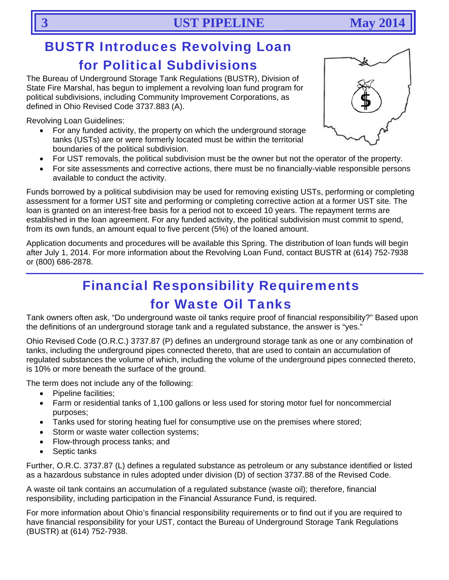### BUSTR Introduces Revolving Loan for Political Subdivisions

The Bureau of Underground Storage Tank Regulations (BUSTR), Division of State Fire Marshal, has begun to implement a revolving loan fund program for political subdivisions, including Community Improvement Corporations, as defined in Ohio Revised Code 3737.883 (A).

Revolving Loan Guidelines:

- For any funded activity, the property on which the underground storage tanks (USTs) are or were formerly located must be within the territorial boundaries of the political subdivision.
- For UST removals, the political subdivision must be the owner but not the operator of the property.
- For site assessments and corrective actions, there must be no financially-viable responsible persons available to conduct the activity.

Funds borrowed by a political subdivision may be used for removing existing USTs, performing or completing assessment for a former UST site and performing or completing corrective action at a former UST site. The loan is granted on an interest-free basis for a period not to exceed 10 years. The repayment terms are established in the loan agreement. For any funded activity, the political subdivision must commit to spend, from its own funds, an amount equal to five percent (5%) of the loaned amount.

Application documents and procedures will be available this Spring. The distribution of loan funds will begin after July 1, 2014. For more information about the Revolving Loan Fund, contact BUSTR at (614) 752-7938 or (800) 686-2878.

# Financial Responsibility Requirements for Waste Oil Tanks

Tank owners often ask, "Do underground waste oil tanks require proof of financial responsibility?" Based upon the definitions of an underground storage tank and a regulated substance, the answer is "yes."

Ohio Revised Code (O.R.C.) 3737.87 (P) defines an underground storage tank as one or any combination of tanks, including the underground pipes connected thereto, that are used to contain an accumulation of regulated substances the volume of which, including the volume of the underground pipes connected thereto, is 10% or more beneath the surface of the ground.

The term does not include any of the following:

- Pipeline facilities;
- Farm or residential tanks of 1,100 gallons or less used for storing motor fuel for noncommercial purposes;
- Tanks used for storing heating fuel for consumptive use on the premises where stored;
- Storm or waste water collection systems;
- Flow-through process tanks; and
- Septic tanks

Further, O.R.C. 3737.87 (L) defines a regulated substance as petroleum or any substance identified or listed as a hazardous substance in rules adopted under division (D) of section 3737.88 of the Revised Code.

A waste oil tank contains an accumulation of a regulated substance (waste oil); therefore, financial responsibility, including participation in the Financial Assurance Fund, is required.

For more information about Ohio's financial responsibility requirements or to find out if you are required to have financial responsibility for your UST, contact the Bureau of Underground Storage Tank Regulations (BUSTR) at (614) 752-7938.